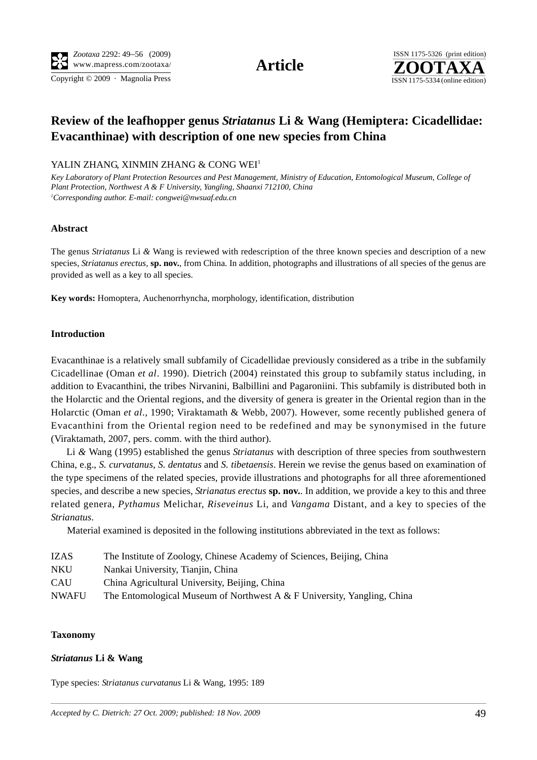Copyright © 2009 · Magnolia Press ISSN 1175-5334 (online edition)



# **Review of the leafhopper genus** *Striatanus* **Li & Wang (Hemiptera: Cicadellidae: Evacanthinae) with description of one new species from China**

#### YALIN ZHANG, XINMIN ZHANG & CONG WEI<sup>1</sup>

*Key Laboratory of Plant Protection Resources and Pest Management, Ministry of Education, Entomological Museum, College of Plant Protection, Northwest A & F University, Yangling, Shaanxi 712100, China 1 Corresponding author. E-mail: congwei@nwsuaf.edu.cn*

#### **Abstract**

The genus *Striatanus* Li *&* Wang is reviewed with redescription of the three known species and description of a new species, *Striatanus erectus,* **sp. nov.**, from China. In addition, photographs and illustrations of all species of the genus are provided as well as a key to all species.

**Key words:** Homoptera, Auchenorrhyncha, morphology, identification, distribution

#### **Introduction**

Evacanthinae is a relatively small subfamily of Cicadellidae previously considered as a tribe in the subfamily Cicadellinae (Oman *et al*. 1990). Dietrich (2004) reinstated this group to subfamily status including, in addition to Evacanthini, the tribes Nirvanini, Balbillini and Pagaroniini. This subfamily is distributed both in the Holarctic and the Oriental regions, and the diversity of genera is greater in the Oriental region than in the Holarctic (Oman *et al*., 1990; Viraktamath & Webb, 2007). However, some recently published genera of Evacanthini from the Oriental region need to be redefined and may be synonymised in the future (Viraktamath, 2007, pers. comm. with the third author).

Li *&* Wang (1995) established the genus *Striatanus* with description of three species from southwestern China, e.g., *S. curvatanus*, *S. dentatus* and *S. tibetaensis*. Herein we revise the genus based on examination of the type specimens of the related species, provide illustrations and photographs for all three aforementioned species, and describe a new species, *Strianatus erectus* **sp. nov.**. In addition, we provide a key to this and three related genera, *Pythamus* Melichar, *Riseveinus* Li, and *Vangama* Distant, and a key to species of the *Strianatus*.

Material examined is deposited in the following institutions abbreviated in the text as follows:

- IZAS The Institute of Zoology, Chinese Academy of Sciences, Beijing, China
- NKU Nankai University, Tianjin, China
- CAU China Agricultural University, Beijing, China
- NWAFU The Entomological Museum of Northwest A  $&$  F University, Yangling, China

#### **Taxonomy**

#### *Striatanus* **Li & Wang**

Type species: *Striatanus curvatanus* Li & Wang, 1995: 189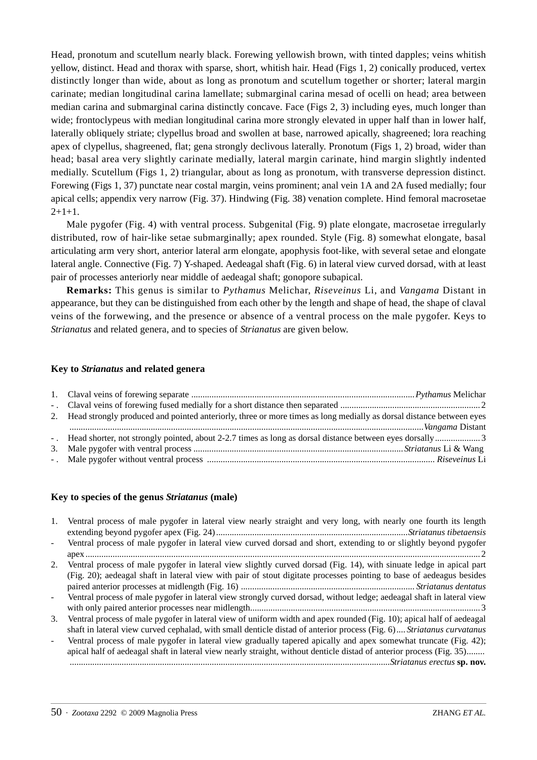Head, pronotum and scutellum nearly black. Forewing yellowish brown, with tinted dapples; veins whitish yellow, distinct. Head and thorax with sparse, short, whitish hair. Head (Figs 1, 2) conically produced, vertex distinctly longer than wide, about as long as pronotum and scutellum together or shorter; lateral margin carinate; median longitudinal carina lamellate; submarginal carina mesad of ocelli on head; area between median carina and submarginal carina distinctly concave. Face (Figs 2, 3) including eyes, much longer than wide; frontoclypeus with median longitudinal carina more strongly elevated in upper half than in lower half, laterally obliquely striate; clypellus broad and swollen at base, narrowed apically, shagreened; lora reaching apex of clypellus, shagreened, flat; gena strongly declivous laterally. Pronotum (Figs 1, 2) broad, wider than head; basal area very slightly carinate medially, lateral margin carinate, hind margin slightly indented medially. Scutellum (Figs 1, 2) triangular, about as long as pronotum, with transverse depression distinct. Forewing (Figs 1, 37) punctate near costal margin, veins prominent; anal vein 1A and 2A fused medially; four apical cells; appendix very narrow (Fig. 37). Hindwing (Fig. 38) venation complete. Hind femoral macrosetae  $2+1+1.$ 

Male pygofer (Fig. 4) with ventral process. Subgenital (Fig. 9) plate elongate, macrosetae irregularly distributed, row of hair-like setae submarginally; apex rounded. Style (Fig. 8) somewhat elongate, basal articulating arm very short, anterior lateral arm elongate, apophysis foot-like, with several setae and elongate lateral angle. Connective (Fig. 7) Y-shaped. Aedeagal shaft (Fig. 6) in lateral view curved dorsad, with at least pair of processes anteriorly near middle of aedeagal shaft; gonopore subapical.

**Remarks:** This genus is similar to *Pythamus* Melichar, *Riseveinus* Li, and *Vangama* Distant in appearance, but they can be distinguished from each other by the length and shape of head, the shape of claval veins of the forwewing, and the presence or absence of a ventral process on the male pygofer. Keys to *Strianatus* and related genera, and to species of *Strianatus* are given below.

#### **Key to** *Strianatus* **and related genera**

| 2. Head strongly produced and pointed anteriorly, three or more times as long medially as dorsal distance between eyes |  |
|------------------------------------------------------------------------------------------------------------------------|--|
|                                                                                                                        |  |
|                                                                                                                        |  |
|                                                                                                                        |  |
|                                                                                                                        |  |

## **Key to species of the genus** *Striatanus* **(male)**

| 1. | Ventral process of male pygofer in lateral view nearly straight and very long, with nearly one fourth its length      |
|----|-----------------------------------------------------------------------------------------------------------------------|
|    |                                                                                                                       |
|    | Ventral process of male pygofer in lateral view curved dorsad and short, extending to or slightly beyond pygofer      |
|    |                                                                                                                       |
| 2. | Ventral process of male pygofer in lateral view slightly curved dorsad (Fig. 14), with sinuate ledge in apical part   |
|    | (Fig. 20); aedeagal shaft in lateral view with pair of stout digitate processes pointing to base of aedeagus besides  |
|    |                                                                                                                       |
|    | Ventral process of male pygofer in lateral view strongly curved dorsad, without ledge; aedeagal shaft in lateral view |
|    |                                                                                                                       |
| 3. | Ventral process of male pygofer in lateral view of uniform width and apex rounded (Fig. 10); apical half of aedeagal  |
|    | shaft in lateral view curved cephalad, with small denticle distad of anterior process (Fig. 6) Striatanus curvatanus  |
|    | Ventral process of male pygofer in lateral view gradually tapered apically and apex somewhat truncate (Fig. 42);      |
|    | apical half of aedeagal shaft in lateral view nearly straight, without denticle distad of anterior process (Fig. 35)  |
|    |                                                                                                                       |
|    |                                                                                                                       |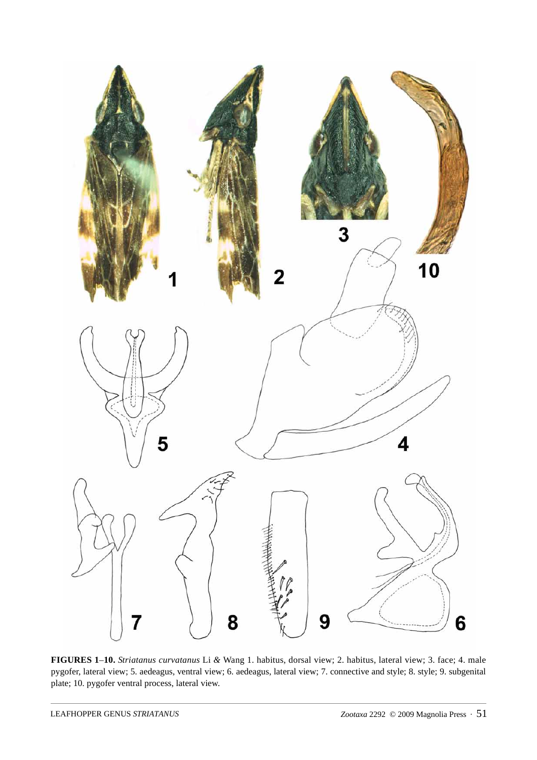

**FIGURES 1**–**10.** *Striatanus curvatanus* Li *&* Wang 1. habitus, dorsal view; 2. habitus, lateral view; 3. face; 4. male pygofer, lateral view; 5. aedeagus, ventral view; 6. aedeagus, lateral view; 7. connective and style; 8. style; 9. subgenital plate; 10. pygofer ventral process, lateral view.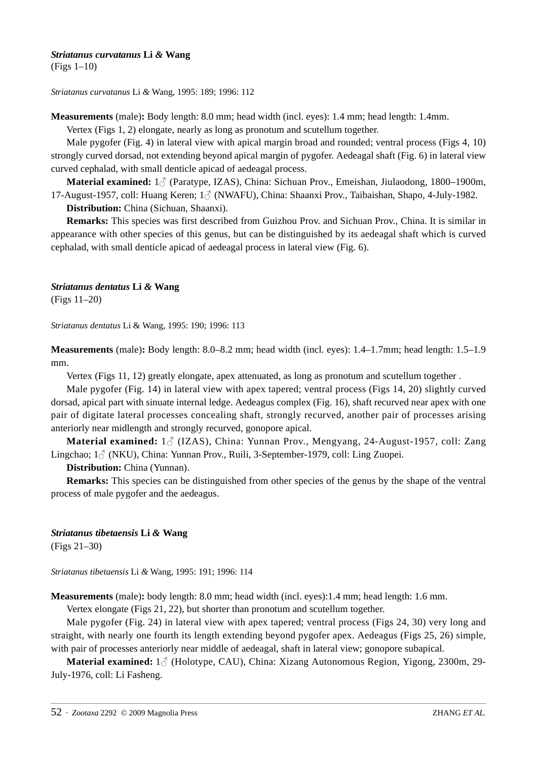#### *Striatanus curvatanus* **Li** *&* **Wang**

(Figs 1–10)

*Striatanus curvatanus* Li *&* Wang, 1995: 189; 1996: 112

**Measurements** (male)**:** Body length: 8.0 mm; head width (incl. eyes): 1.4 mm; head length: 1.4mm.

Vertex (Figs 1, 2) elongate, nearly as long as pronotum and scutellum together.

Male pygofer (Fig. 4) in lateral view with apical margin broad and rounded; ventral process (Figs 4, 10) strongly curved dorsad, not extending beyond apical margin of pygofer. Aedeagal shaft (Fig. 6) in lateral view curved cephalad, with small denticle apicad of aedeagal process.

**Material examined:** 1♂ (Paratype, IZAS), China: Sichuan Prov., Emeishan, Jiulaodong, 1800–1900m, 17-August-1957, coll: Huang Keren; 1♂ (NWAFU), China: Shaanxi Prov., Taibaishan, Shapo, 4-July-1982.

**Distribution:** China (Sichuan, Shaanxi).

**Remarks:** This species was first described from Guizhou Prov. and Sichuan Prov., China. It is similar in appearance with other species of this genus, but can be distinguished by its aedeagal shaft which is curved cephalad, with small denticle apicad of aedeagal process in lateral view (Fig. 6).

## *Striatanus dentatus* **Li** *&* **Wang**

(Figs 11–20)

*Striatanus dentatus* Li & Wang, 1995: 190; 1996: 113

**Measurements** (male)**:** Body length: 8.0–8.2 mm; head width (incl. eyes): 1.4–1.7mm; head length: 1.5–1.9 mm.

Vertex (Figs 11, 12) greatly elongate, apex attenuated, as long as pronotum and scutellum together .

Male pygofer (Fig. 14) in lateral view with apex tapered; ventral process (Figs 14, 20) slightly curved dorsad, apical part with sinuate internal ledge. Aedeagus complex (Fig. 16), shaft recurved near apex with one pair of digitate lateral processes concealing shaft, strongly recurved, another pair of processes arising anteriorly near midlength and strongly recurved, gonopore apical.

**Material examined:** 1♂ (IZAS), China: Yunnan Prov., Mengyang, 24-August-1957, coll: Zang Lingchao;  $1\textdegree$  (NKU), China: Yunnan Prov., Ruili, 3-September-1979, coll: Ling Zuopei.

## **Distribution:** China (Yunnan).

**Remarks:** This species can be distinguished from other species of the genus by the shape of the ventral process of male pygofer and the aedeagus.

## *Striatanus tibetaensis* **Li** *&* **Wang**

(Figs 21–30)

*Striatanus tibetaensis* Li *&* Wang, 1995: 191; 1996: 114

**Measurements** (male)**:** body length: 8.0 mm; head width (incl. eyes):1.4 mm; head length: 1.6 mm.

Vertex elongate (Figs 21, 22), but shorter than pronotum and scutellum together.

Male pygofer (Fig. 24) in lateral view with apex tapered; ventral process (Figs 24, 30) very long and straight, with nearly one fourth its length extending beyond pygofer apex. Aedeagus (Figs 25, 26) simple, with pair of processes anteriorly near middle of aedeagal, shaft in lateral view; gonopore subapical.

**Material examined:** 1♂ (Holotype, CAU), China: Xizang Autonomous Region, Yigong, 2300m, 29- July-1976, coll: Li Fasheng.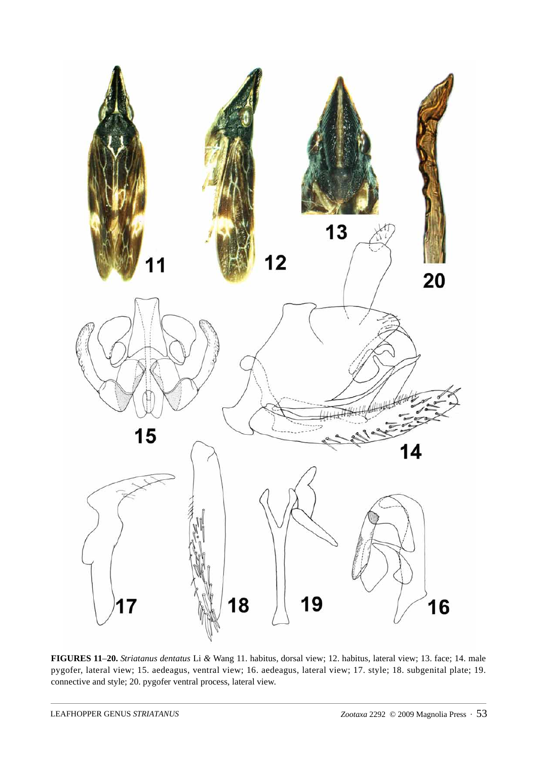

**FIGURES 11**–**20.** *Striatanus dentatus* Li *&* Wang 11. habitus, dorsal view; 12. habitus, lateral view; 13. face; 14. male pygofer, lateral view; 15. aedeagus, ventral view; 16. aedeagus, lateral view; 17. style; 18. subgenital plate; 19. connective and style; 20. pygofer ventral process, lateral view.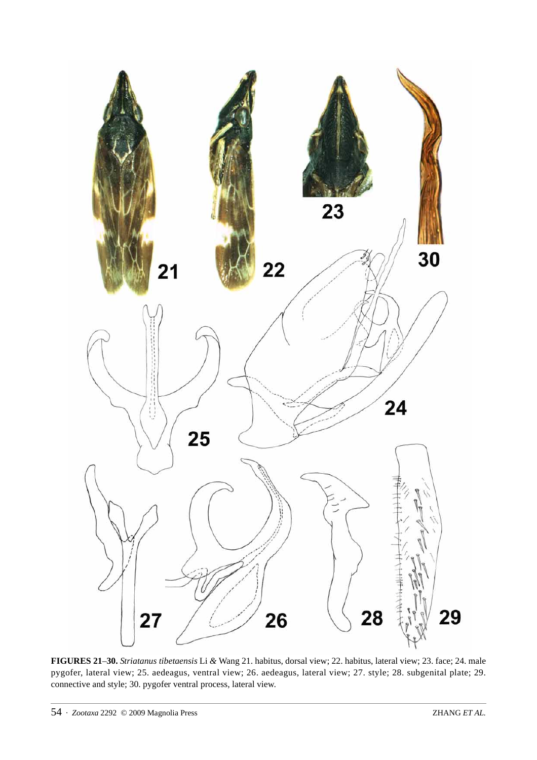![](_page_5_Figure_0.jpeg)

**FIGURES 21**–**30.** *Striatanus tibetaensis* Li *&* Wang 21. habitus, dorsal view; 22. habitus, lateral view; 23. face; 24. male pygofer, lateral view; 25. aedeagus, ventral view; 26. aedeagus, lateral view; 27. style; 28. subgenital plate; 29. connective and style; 30. pygofer ventral process, lateral view.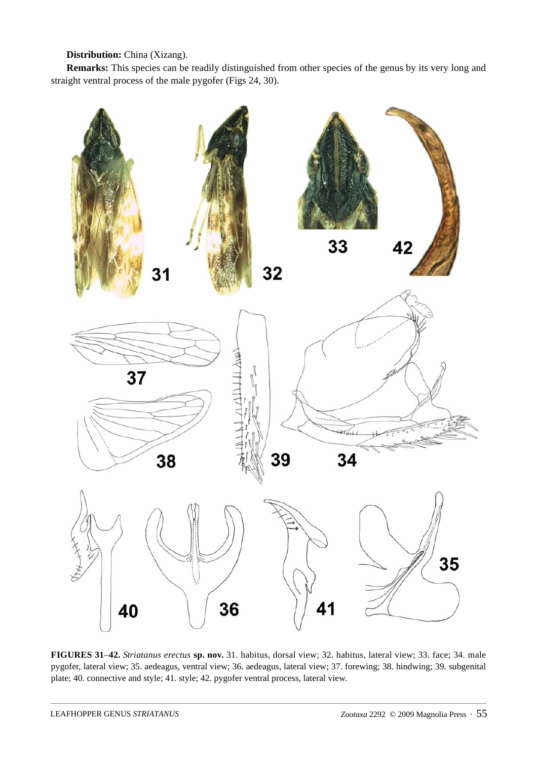# **Distribution:** China (Xizang).

**Remarks:** This species can be readily distinguished from other species of the genus by its very long and straight ventral process of the male pygofer (Figs 24, 30).

![](_page_6_Figure_2.jpeg)

**FIGURES 31**–**42.** *Striatanus erectus* **sp. nov.** 31. habitus, dorsal view; 32. habitus, lateral view; 33. face; 34. male pygofer, lateral view; 35. aedeagus, ventral view; 36. aedeagus, lateral view; 37. forewing; 38. hindwing; 39. subgenital plate; 40. connective and style; 41. style; 42. pygofer ventral process, lateral view.